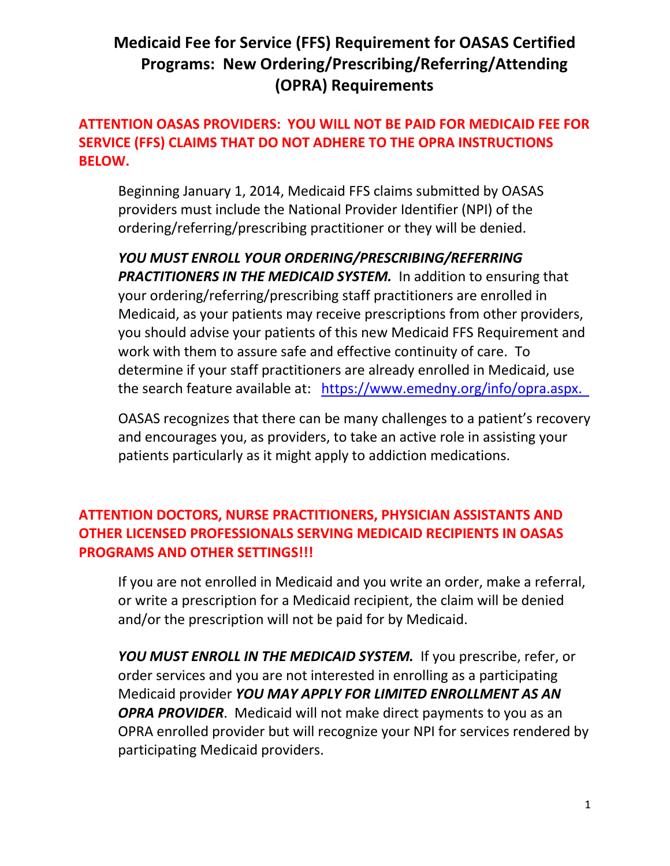# **Medicaid Fee for Service (FFS) Requirement for OASAS Certified Programs: New Ordering/Prescribing/Referring/Attending (OPRA) Requirements**

# **ATTENTION OASAS PROVIDERS: YOU WILL NOT BE PAID FOR MEDICAID FEE FOR SERVICE (FFS) CLAIMS THAT DO NOT ADHERE TO THE OPRA INSTRUCTIONS BELOW.**

Beginning January 1, 2014, Medicaid FFS claims submitted by OASAS providers must include the National Provider Identifier (NPI) of the ordering/referring/prescribing practitioner or they will be denied.

*YOU MUST ENROLL YOUR ORDERING/PRESCRIBING/REFERRING*  **PRACTITIONERS IN THE MEDICAID SYSTEM.** In addition to ensuring that your ordering/referring/prescribing staff practitioners are enrolled in Medicaid, as your patients may receive prescriptions from other providers, you should advise your patients of this new Medicaid FFS Requirement and work with them to assure safe and effective continuity of care. To determine if your staff practitioners are already enrolled in Medicaid, use the search feature available at: [https://www.emedny.org/info/opra.aspx.](https://www.emedny.org/info/opra.aspx)

OASAS recognizes that there can be many challenges to a patient's recovery and encourages you, as providers, to take an active role in assisting your patients particularly as it might apply to addiction medications.

# **ATTENTION DOCTORS, NURSE PRACTITIONERS, PHYSICIAN ASSISTANTS AND OTHER LICENSED PROFESSIONALS SERVING MEDICAID RECIPIENTS IN OASAS PROGRAMS AND OTHER SETTINGS!!!**

If you are not enrolled in Medicaid and you write an order, make a referral, or write a prescription for a Medicaid recipient, the claim will be denied and/or the prescription will not be paid for by Medicaid.

*YOU MUST ENROLL IN THE MEDICAID SYSTEM.*If you prescribe, refer, or order services and you are not interested in enrolling as a participating Medicaid provider *YOU MAY APPLY FOR LIMITED ENROLLMENT AS AN OPRA PROVIDER*. Medicaid will not make direct payments to you as an OPRA enrolled provider but will recognize your NPI for services rendered by participating Medicaid providers.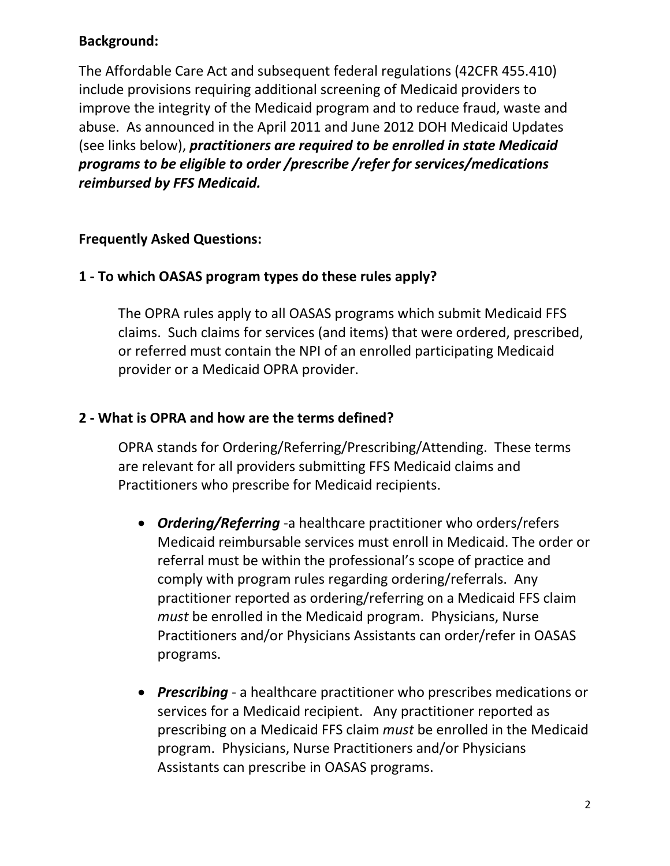# **Background:**

The Affordable Care Act and subsequent federal regulations (42CFR 455.410) include provisions requiring additional screening of Medicaid providers to improve the integrity of the Medicaid program and to reduce fraud, waste and abuse. As announced in the April 2011 and June 2012 DOH Medicaid Updates (see links below), *practitioners are required to be enrolled in state Medicaid programs to be eligible to order /prescribe /refer for services/medications reimbursed by FFS Medicaid.*

#### **Frequently Asked Questions:**

#### **1 - To which OASAS program types do these rules apply?**

The OPRA rules apply to all OASAS programs which submit Medicaid FFS claims. Such claims for services (and items) that were ordered, prescribed, or referred must contain the NPI of an enrolled participating Medicaid provider or a Medicaid OPRA provider.

#### **2 - What is OPRA and how are the terms defined?**

OPRA stands for Ordering/Referring/Prescribing/Attending. These terms are relevant for all providers submitting FFS Medicaid claims and Practitioners who prescribe for Medicaid recipients.

- *Ordering/Referring* -a healthcare practitioner who orders/refers Medicaid reimbursable services must enroll in Medicaid. The order or referral must be within the professional's scope of practice and comply with program rules regarding ordering/referrals. Any practitioner reported as ordering/referring on a Medicaid FFS claim *must* be enrolled in the Medicaid program. Physicians, Nurse Practitioners and/or Physicians Assistants can order/refer in OASAS programs.
- *Prescribing* a healthcare practitioner who prescribes medications or services for a Medicaid recipient. Any practitioner reported as prescribing on a Medicaid FFS claim *must* be enrolled in the Medicaid program. Physicians, Nurse Practitioners and/or Physicians Assistants can prescribe in OASAS programs.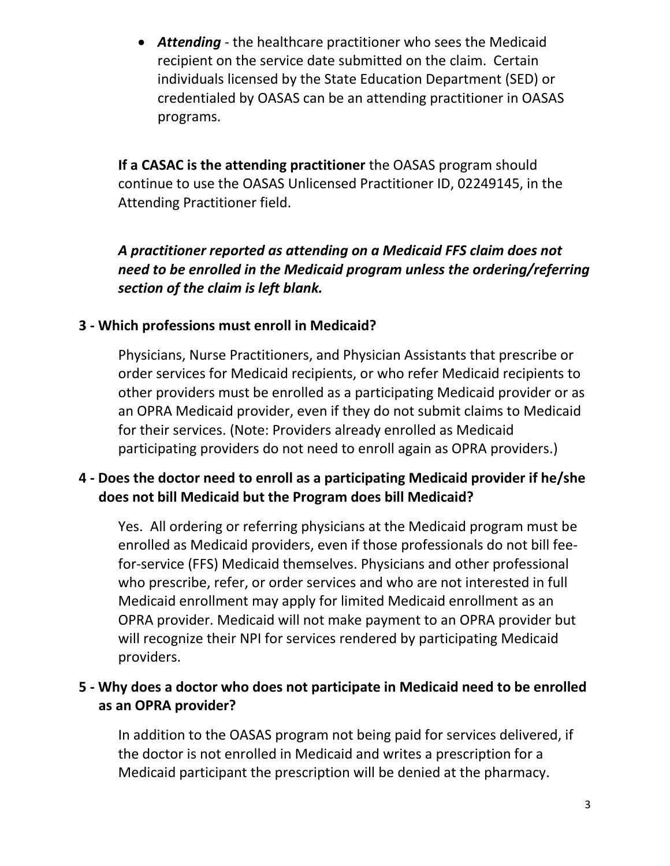• *Attending* - the healthcare practitioner who sees the Medicaid recipient on the service date submitted on the claim. Certain individuals licensed by the State Education Department (SED) or credentialed by OASAS can be an attending practitioner in OASAS programs.

**If a CASAC is the attending practitioner** the OASAS program should continue to use the OASAS Unlicensed Practitioner ID, 02249145, in the Attending Practitioner field.

*A practitioner reported as attending on a Medicaid FFS claim does not need to be enrolled in the Medicaid program unless the ordering/referring section of the claim is left blank.*

#### **3 - Which professions must enroll in Medicaid?**

Physicians, Nurse Practitioners, and Physician Assistants that prescribe or order services for Medicaid recipients, or who refer Medicaid recipients to other providers must be enrolled as a participating Medicaid provider or as an OPRA Medicaid provider, even if they do not submit claims to Medicaid for their services. (Note: Providers already enrolled as Medicaid participating providers do not need to enroll again as OPRA providers.)

# **4 - Does the doctor need to enroll as a participating Medicaid provider if he/she does not bill Medicaid but the Program does bill Medicaid?**

Yes. All ordering or referring physicians at the Medicaid program must be enrolled as Medicaid providers, even if those professionals do not bill feefor-service (FFS) Medicaid themselves. Physicians and other professional who prescribe, refer, or order services and who are not interested in full Medicaid enrollment may apply for limited Medicaid enrollment as an OPRA provider. Medicaid will not make payment to an OPRA provider but will recognize their NPI for services rendered by participating Medicaid providers.

#### **5 - Why does a doctor who does not participate in Medicaid need to be enrolled as an OPRA provider?**

In addition to the OASAS program not being paid for services delivered, if the doctor is not enrolled in Medicaid and writes a prescription for a Medicaid participant the prescription will be denied at the pharmacy.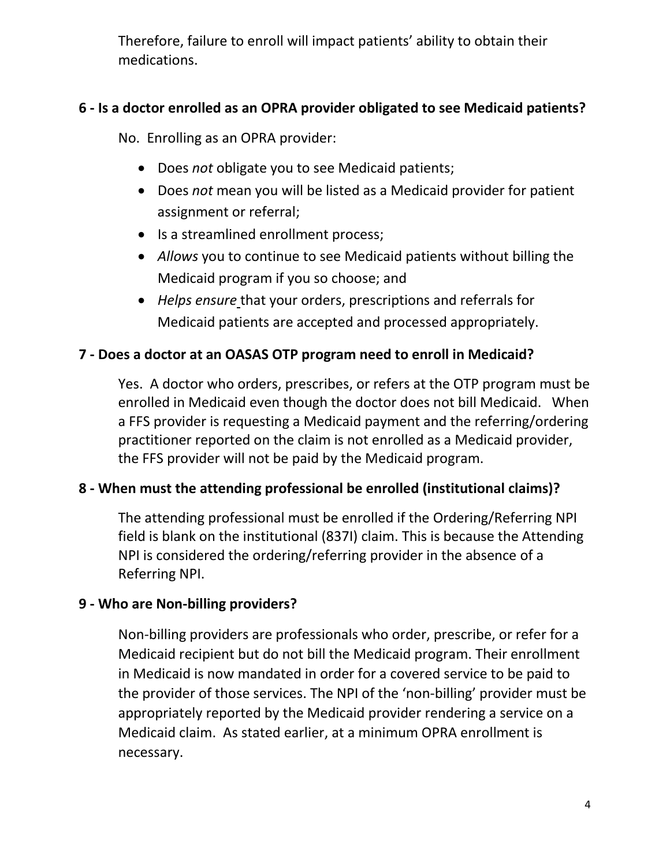Therefore, failure to enroll will impact patients' ability to obtain their medications.

# **6 - Is a doctor enrolled as an OPRA provider obligated to see Medicaid patients?**

No. Enrolling as an OPRA provider:

- Does *not* obligate you to see Medicaid patients;
- Does *not* mean you will be listed as a Medicaid provider for patient assignment or referral;
- Is a streamlined enrollment process;
- *Allows* you to continue to see Medicaid patients without billing the Medicaid program if you so choose; and
- *Helps ensure* that your orders, prescriptions and referrals for Medicaid patients are accepted and processed appropriately.

# **7 - Does a doctor at an OASAS OTP program need to enroll in Medicaid?**

Yes. A doctor who orders, prescribes, or refers at the OTP program must be enrolled in Medicaid even though the doctor does not bill Medicaid. When a FFS provider is requesting a Medicaid payment and the referring/ordering practitioner reported on the claim is not enrolled as a Medicaid provider, the FFS provider will not be paid by the Medicaid program.

# **8 - When must the attending professional be enrolled (institutional claims)?**

The attending professional must be enrolled if the Ordering/Referring NPI field is blank on the institutional (837I) claim. This is because the Attending NPI is considered the ordering/referring provider in the absence of a Referring NPI.

# **9 - Who are Non-billing providers?**

Non-billing providers are professionals who order, prescribe, or refer for a Medicaid recipient but do not bill the Medicaid program. Their enrollment in Medicaid is now mandated in order for a covered service to be paid to the provider of those services. The NPI of the 'non-billing' provider must be appropriately reported by the Medicaid provider rendering a service on a Medicaid claim. As stated earlier, at a minimum OPRA enrollment is necessary.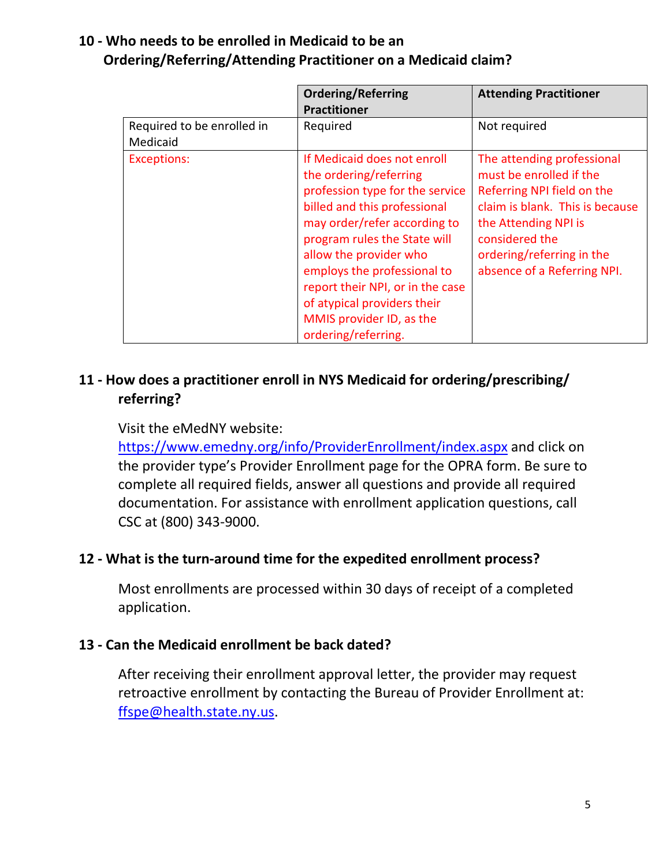# **10 - Who needs to be enrolled in Medicaid to be an Ordering/Referring/Attending Practitioner on a Medicaid claim?**

|                                        | <b>Ordering/Referring</b><br><b>Practitioner</b>                                                                                                                                                                                                                                                                                                                        | <b>Attending Practitioner</b>                                                                                                                                                                                                |
|----------------------------------------|-------------------------------------------------------------------------------------------------------------------------------------------------------------------------------------------------------------------------------------------------------------------------------------------------------------------------------------------------------------------------|------------------------------------------------------------------------------------------------------------------------------------------------------------------------------------------------------------------------------|
| Required to be enrolled in<br>Medicaid | Required                                                                                                                                                                                                                                                                                                                                                                | Not required                                                                                                                                                                                                                 |
| <b>Exceptions:</b>                     | If Medicaid does not enroll<br>the ordering/referring<br>profession type for the service<br>billed and this professional<br>may order/refer according to<br>program rules the State will<br>allow the provider who<br>employs the professional to<br>report their NPI, or in the case<br>of atypical providers their<br>MMIS provider ID, as the<br>ordering/referring. | The attending professional<br>must be enrolled if the<br>Referring NPI field on the<br>claim is blank. This is because<br>the Attending NPI is<br>considered the<br>ordering/referring in the<br>absence of a Referring NPI. |

# **11 - How does a practitioner enroll in NYS Medicaid for ordering/prescribing/ referring?**

#### Visit the eMedNY website:

<https://www.emedny.org/info/ProviderEnrollment/index.aspx> and click on the provider type's Provider Enrollment page for the OPRA form. Be sure to complete all required fields, answer all questions and provide all required documentation. For assistance with enrollment application questions, call CSC at (800) 343-9000.

#### **12 - What is the turn-around time for the expedited enrollment process?**

Most enrollments are processed within 30 days of receipt of a completed application.

#### **13 - Can the Medicaid enrollment be back dated?**

After receiving their enrollment approval letter, the provider may request retroactive enrollment by contacting the Bureau of Provider Enrollment at: [ffspe@health.state.ny.us.](mailto:ffspe@health.state.ny.us)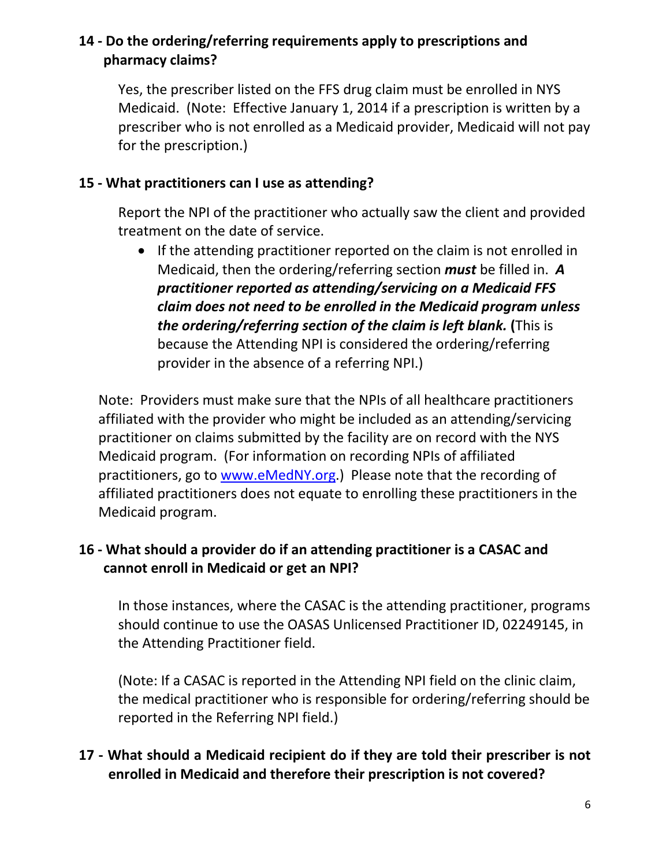# **14 - Do the ordering/referring requirements apply to prescriptions and pharmacy claims?**

Yes, the prescriber listed on the FFS drug claim must be enrolled in NYS Medicaid. (Note: Effective January 1, 2014 if a prescription is written by a prescriber who is not enrolled as a Medicaid provider, Medicaid will not pay for the prescription.)

#### **15 - What practitioners can I use as attending?**

Report the NPI of the practitioner who actually saw the client and provided treatment on the date of service.

• If the attending practitioner reported on the claim is not enrolled in Medicaid, then the ordering/referring section *must* be filled in. *A practitioner reported as attending/servicing on a Medicaid FFS claim does not need to be enrolled in the Medicaid program unless the ordering/referring section of the claim is left blank.* **(**This is because the Attending NPI is considered the ordering/referring provider in the absence of a referring NPI.)

Note: Providers must make sure that the NPIs of all healthcare practitioners affiliated with the provider who might be included as an attending/servicing practitioner on claims submitted by the facility are on record with the NYS Medicaid program. (For information on recording NPIs of affiliated practitioners, go to [www.eMedNY.org.](http://www.emedny.org/)) Please note that the recording of affiliated practitioners does not equate to enrolling these practitioners in the Medicaid program.

# **16 - What should a provider do if an attending practitioner is a CASAC and cannot enroll in Medicaid or get an NPI?**

In those instances, where the CASAC is the attending practitioner, programs should continue to use the OASAS Unlicensed Practitioner ID, 02249145, in the Attending Practitioner field.

(Note: If a CASAC is reported in the Attending NPI field on the clinic claim, the medical practitioner who is responsible for ordering/referring should be reported in the Referring NPI field.)

# **17 - What should a Medicaid recipient do if they are told their prescriber is not enrolled in Medicaid and therefore their prescription is not covered?**